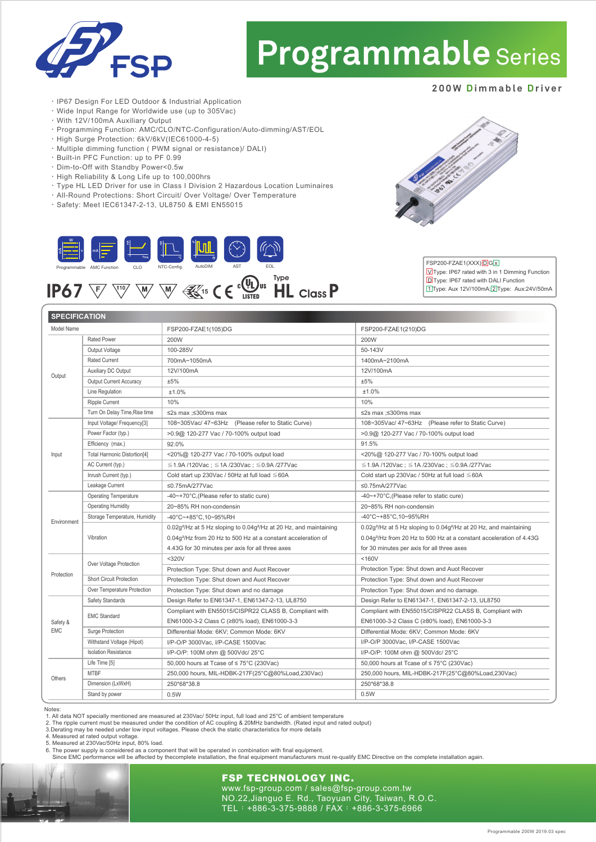

# **Programmable** Series

#### **200W Dimmable Driver**

- ‧IP67 Design For LED Outdoor & Industrial Application
- ‧Wide Input Range for Worldwide use (up to 305Vac)
- ‧With 12V/100mA Auxiliary Output
- ‧Programming Function: AMC/CLO/NTC-Configuration/Auto-dimming/AST/EOL
- ‧High Surge Protection: 6kV/6kV(IEC61000-4-5)
- ‧Multiple dimming function ( PWM signal or resistance)/ DALI)
- ‧Built-in PFC Function: up to PF 0.99
- ‧Dim-to-Off with Standby Power<0.5w
- ‧High Reliability & Long Life up to 100,000hrs
- ‧Type HL LED Driver for use in Class I Division 2 Hazardous Location Luminaires
- ‧All-Round Protections: Short Circuit/ Over Voltage/ Over Temperature
- ‧Safety: Meet IEC61347-2-13, UL8750 & EMI EN55015





#### Notes:

EMC

Input

1. All data NOT specially mentioned are measured at 230Vac/ 50Hz input, full load and 25°C of ambient temperature

2. The ripple current must be measured under the condition of AC coupling & 20MHz bandwidth. (Rated input and rated output)<br>3.Derating may be needed under low input voltages. Please check the static characteristics for mor

4. Measured at rated output voltage

5. Measured at 230Vac/50Hz input, 80% load.

6. The power supply is considered as a component that will be operated in combination with final equipment.<br>Since EMC performance will be affected by thecomplete installation, the final equipment manufacturers must re-qual

### **FSP TECHNOLOGY INC.**

www.fsp-group.com / sales@fsp-group.com.tw NO.22,Jianguo E. Rd., Taoyuan City, Taiwan, R.O.C. TEL:+886-3-375-9888 / FAX:+886-3-375-6966



#### FSP200-FZAE1(XXX) D G x UType: IP67 rated with 3 in 1 Dimming Function

Programmable 200W 2019.03 spec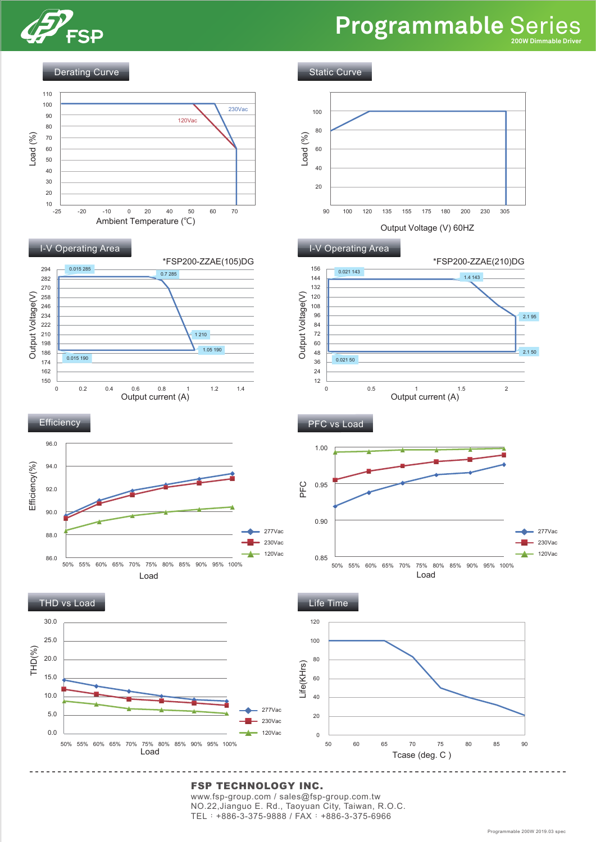

## **Programmable** Series **200W Dimmable Driver**

Derating Curve

Static Curve



#### FSP TECHNOLOGY INC.

www.fsp-group.com / sales@fsp-group.com.tw NO.22,Jianguo E. Rd., Taoyuan City, Taiwan, R.O.C. TEL:+886-3-375-9888 / FAX:+886-3-375-6966